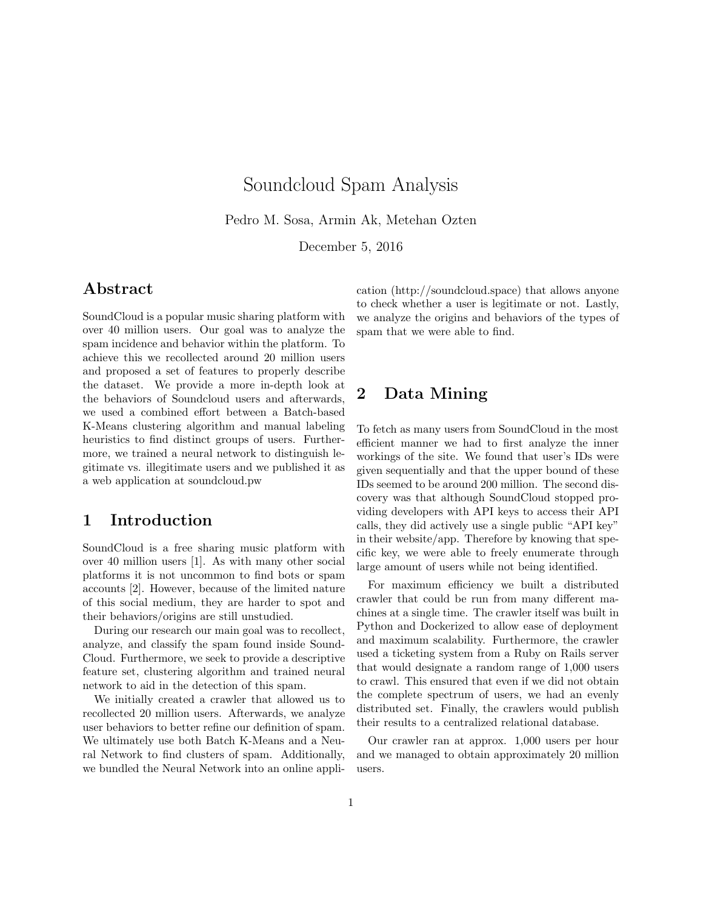# Soundcloud Spam Analysis

Pedro M. Sosa, Armin Ak, Metehan Ozten

December 5, 2016

# Abstract

SoundCloud is a popular music sharing platform with over 40 million users. Our goal was to analyze the spam incidence and behavior within the platform. To achieve this we recollected around 20 million users and proposed a set of features to properly describe the dataset. We provide a more in-depth look at the behaviors of Soundcloud users and afterwards, we used a combined effort between a Batch-based K-Means clustering algorithm and manual labeling heuristics to find distinct groups of users. Furthermore, we trained a neural network to distinguish legitimate vs. illegitimate users and we published it as a web application at soundcloud.pw

# 1 Introduction

SoundCloud is a free sharing music platform with over 40 million users [1]. As with many other social platforms it is not uncommon to find bots or spam accounts [2]. However, because of the limited nature of this social medium, they are harder to spot and their behaviors/origins are still unstudied.

During our research our main goal was to recollect, analyze, and classify the spam found inside Sound-Cloud. Furthermore, we seek to provide a descriptive feature set, clustering algorithm and trained neural network to aid in the detection of this spam.

We initially created a crawler that allowed us to recollected 20 million users. Afterwards, we analyze user behaviors to better refine our definition of spam. We ultimately use both Batch K-Means and a Neural Network to find clusters of spam. Additionally, we bundled the Neural Network into an online application (http://soundcloud.space) that allows anyone to check whether a user is legitimate or not. Lastly, we analyze the origins and behaviors of the types of spam that we were able to find.

# 2 Data Mining

To fetch as many users from SoundCloud in the most efficient manner we had to first analyze the inner workings of the site. We found that user's IDs were given sequentially and that the upper bound of these IDs seemed to be around 200 million. The second discovery was that although SoundCloud stopped providing developers with API keys to access their API calls, they did actively use a single public "API key" in their website/app. Therefore by knowing that specific key, we were able to freely enumerate through large amount of users while not being identified.

For maximum efficiency we built a distributed crawler that could be run from many different machines at a single time. The crawler itself was built in Python and Dockerized to allow ease of deployment and maximum scalability. Furthermore, the crawler used a ticketing system from a Ruby on Rails server that would designate a random range of 1,000 users to crawl. This ensured that even if we did not obtain the complete spectrum of users, we had an evenly distributed set. Finally, the crawlers would publish their results to a centralized relational database.

Our crawler ran at approx. 1,000 users per hour and we managed to obtain approximately 20 million users.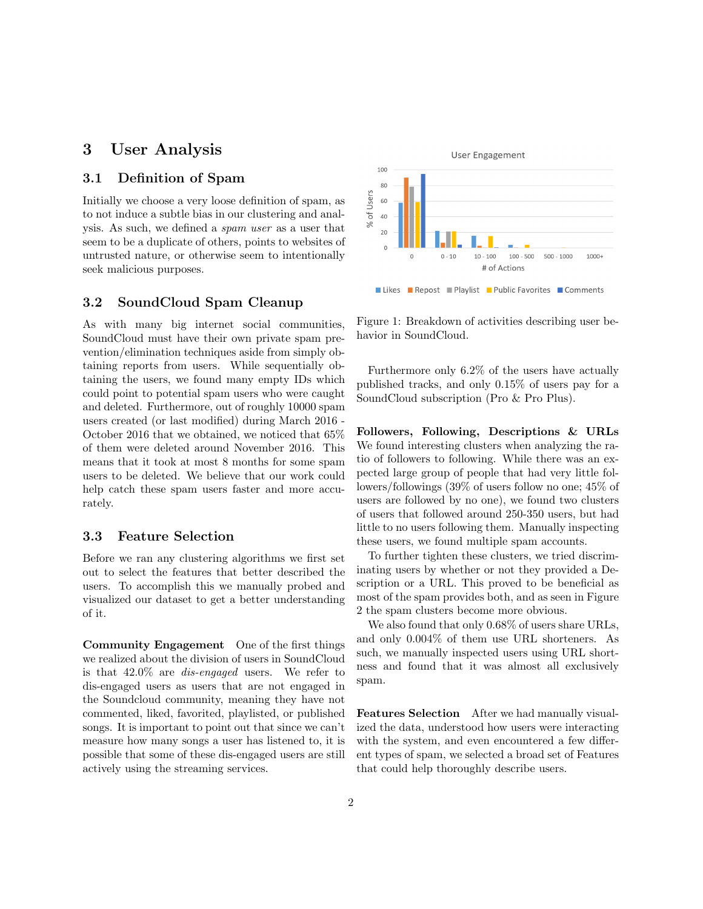# 3 User Analysis

### 3.1 Definition of Spam

Initially we choose a very loose definition of spam, as to not induce a subtle bias in our clustering and analysis. As such, we defined a spam user as a user that seem to be a duplicate of others, points to websites of untrusted nature, or otherwise seem to intentionally seek malicious purposes.

### 3.2 SoundCloud Spam Cleanup

As with many big internet social communities, SoundCloud must have their own private spam prevention/elimination techniques aside from simply obtaining reports from users. While sequentially obtaining the users, we found many empty IDs which could point to potential spam users who were caught and deleted. Furthermore, out of roughly 10000 spam users created (or last modified) during March 2016 - October 2016 that we obtained, we noticed that 65% of them were deleted around November 2016. This means that it took at most 8 months for some spam users to be deleted. We believe that our work could help catch these spam users faster and more accurately.

### 3.3 Feature Selection

Before we ran any clustering algorithms we first set out to select the features that better described the users. To accomplish this we manually probed and visualized our dataset to get a better understanding of it.

Community Engagement One of the first things we realized about the division of users in SoundCloud is that 42.0% are dis-engaged users. We refer to dis-engaged users as users that are not engaged in the Soundcloud community, meaning they have not commented, liked, favorited, playlisted, or published songs. It is important to point out that since we can't measure how many songs a user has listened to, it is possible that some of these dis-engaged users are still actively using the streaming services.



Figure 1: Breakdown of activities describing user behavior in SoundCloud.

Furthermore only 6.2% of the users have actually published tracks, and only 0.15% of users pay for a SoundCloud subscription (Pro & Pro Plus).

Followers, Following, Descriptions & URLs We found interesting clusters when analyzing the ratio of followers to following. While there was an expected large group of people that had very little followers/followings (39% of users follow no one; 45% of users are followed by no one), we found two clusters of users that followed around 250-350 users, but had little to no users following them. Manually inspecting these users, we found multiple spam accounts.

To further tighten these clusters, we tried discriminating users by whether or not they provided a Description or a URL. This proved to be beneficial as most of the spam provides both, and as seen in Figure 2 the spam clusters become more obvious.

We also found that only 0.68% of users share URLs, and only 0.004% of them use URL shorteners. As such, we manually inspected users using URL shortness and found that it was almost all exclusively spam.

Features Selection After we had manually visualized the data, understood how users were interacting with the system, and even encountered a few different types of spam, we selected a broad set of Features that could help thoroughly describe users.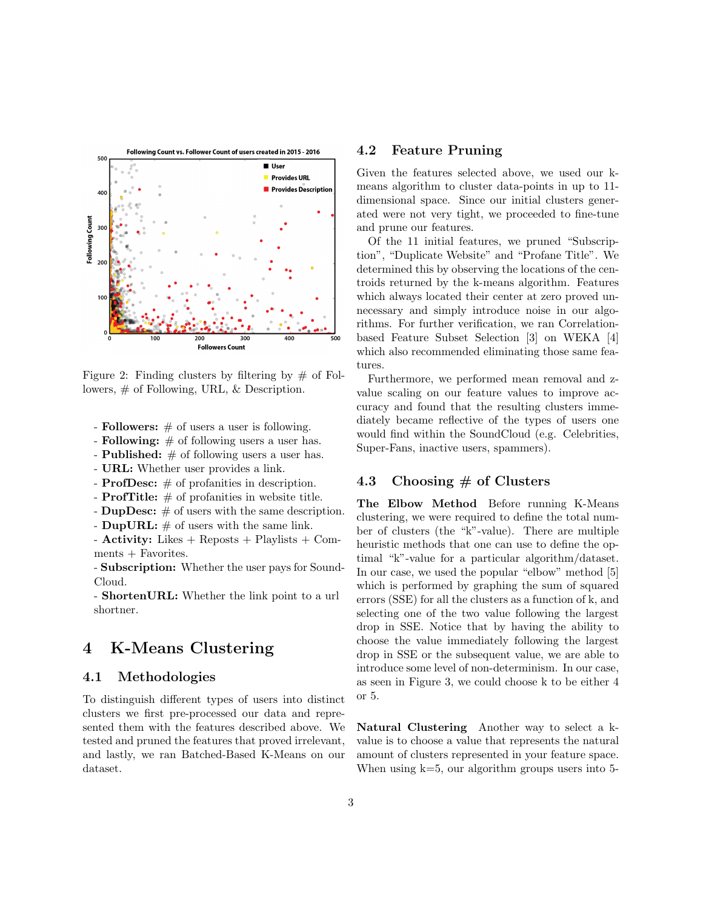

Figure 2: Finding clusters by filtering by  $\#$  of Followers, # of Following, URL, & Description.

- **Followers:**  $\#$  of users a user is following.
- Following:  $\#$  of following users a user has.
- **Published:**  $#$  of following users a user has.
- URL: Whether user provides a link.
- **ProfDesc:**  $\#$  of profanities in description.
- **ProfTitle:**  $\#$  of profanities in website title.
- DupDesc:  $#$  of users with the same description.
- DupURL:  $\#$  of users with the same link.

- Activity: Likes + Reposts + Playlists + Comments + Favorites.

- Subscription: Whether the user pays for Sound-Cloud.

- ShortenURL: Whether the link point to a url shortner.

## 4 K-Means Clustering

### 4.1 Methodologies

To distinguish different types of users into distinct clusters we first pre-processed our data and represented them with the features described above. We tested and pruned the features that proved irrelevant, and lastly, we ran Batched-Based K-Means on our dataset.

#### 4.2 Feature Pruning

Given the features selected above, we used our kmeans algorithm to cluster data-points in up to 11 dimensional space. Since our initial clusters generated were not very tight, we proceeded to fine-tune and prune our features.

Of the 11 initial features, we pruned "Subscription", "Duplicate Website" and "Profane Title". We determined this by observing the locations of the centroids returned by the k-means algorithm. Features which always located their center at zero proved unnecessary and simply introduce noise in our algorithms. For further verification, we ran Correlationbased Feature Subset Selection [3] on WEKA [4] which also recommended eliminating those same features.

Furthermore, we performed mean removal and zvalue scaling on our feature values to improve accuracy and found that the resulting clusters immediately became reflective of the types of users one would find within the SoundCloud (e.g. Celebrities, Super-Fans, inactive users, spammers).

### 4.3 Choosing  $#$  of Clusters

The Elbow Method Before running K-Means clustering, we were required to define the total number of clusters (the "k"-value). There are multiple heuristic methods that one can use to define the optimal "k"-value for a particular algorithm/dataset. In our case, we used the popular "elbow" method [5] which is performed by graphing the sum of squared errors (SSE) for all the clusters as a function of k, and selecting one of the two value following the largest drop in SSE. Notice that by having the ability to choose the value immediately following the largest drop in SSE or the subsequent value, we are able to introduce some level of non-determinism. In our case, as seen in Figure 3, we could choose k to be either 4 or 5.

Natural Clustering Another way to select a kvalue is to choose a value that represents the natural amount of clusters represented in your feature space. When using  $k=5$ , our algorithm groups users into 5-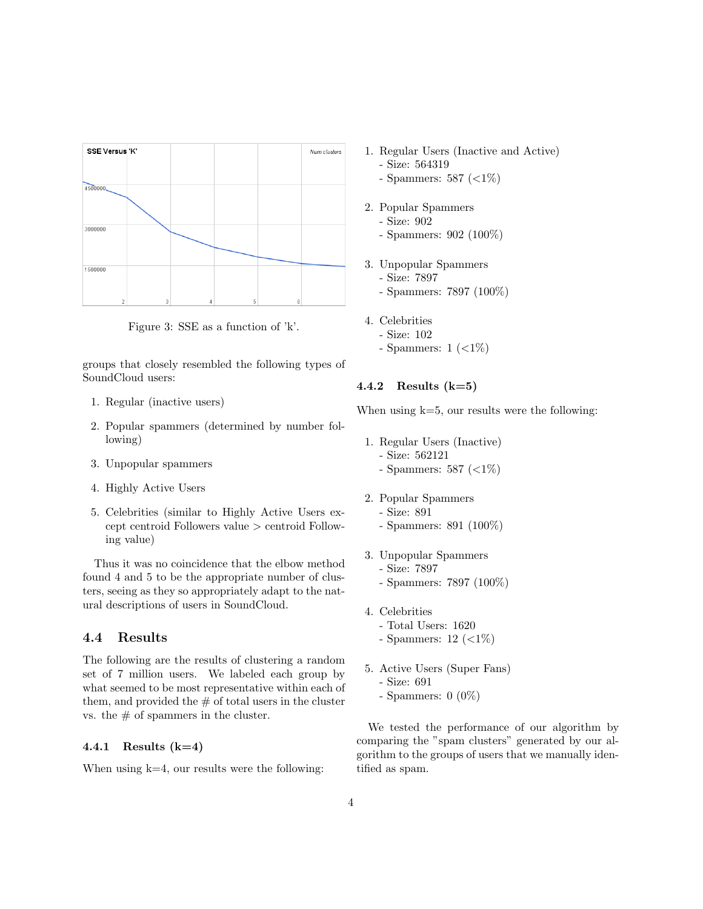

Figure 3: SSE as a function of 'k'.

groups that closely resembled the following types of SoundCloud users:

- 1. Regular (inactive users)
- 2. Popular spammers (determined by number following)
- 3. Unpopular spammers
- 4. Highly Active Users
- 5. Celebrities (similar to Highly Active Users except centroid Followers value > centroid Following value)

Thus it was no coincidence that the elbow method found 4 and 5 to be the appropriate number of clusters, seeing as they so appropriately adapt to the natural descriptions of users in SoundCloud.

### 4.4 Results

The following are the results of clustering a random set of 7 million users. We labeled each group by what seemed to be most representative within each of them, and provided the  $#$  of total users in the cluster vs. the  $\#$  of spammers in the cluster.

#### 4.4.1 Results  $(k=4)$

When using  $k=4$ , our results were the following:

- 1. Regular Users (Inactive and Active) - Size: 564319
	- Spammers: 587 (<1%)
- 2. Popular Spammers
	- Size: 902
	- Spammers: 902 (100%)
- 3. Unpopular Spammers - Size: 7897 - Spammers: 7897 (100%)
- 4. Celebrities
	- Size: 102
	- Spammers:  $1 \approx 1 \approx 1\%$

#### 4.4.2 Results  $(k=5)$

When using  $k=5$ , our results were the following:

- 1. Regular Users (Inactive)
	- Size: 562121
	- Spammers: 587 (<1%)
- 2. Popular Spammers
	- Size: 891
	- Spammers: 891 (100%)
- 3. Unpopular Spammers
	- Size: 7897
	- Spammers: 7897 (100%)
- 4. Celebrities
	- Total Users: 1620
	- Spammers:  $12 \, (\langle 1\% \rangle)$
- 5. Active Users (Super Fans)
	- Size: 691
	- Spammers: 0 (0%)

We tested the performance of our algorithm by comparing the "spam clusters" generated by our algorithm to the groups of users that we manually identified as spam.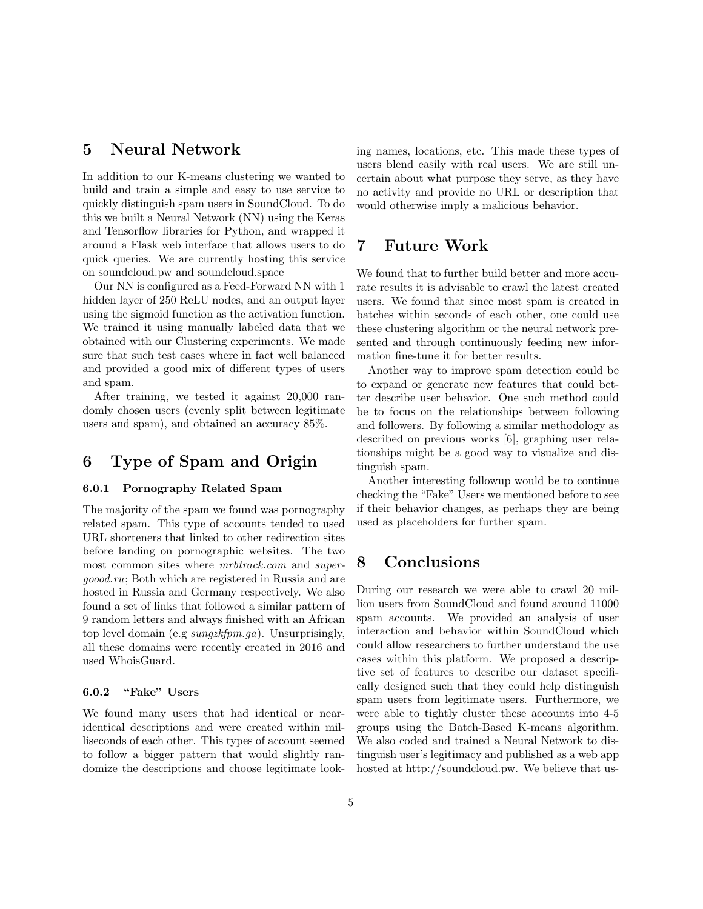# 5 Neural Network

In addition to our K-means clustering we wanted to build and train a simple and easy to use service to quickly distinguish spam users in SoundCloud. To do this we built a Neural Network (NN) using the Keras and Tensorflow libraries for Python, and wrapped it around a Flask web interface that allows users to do quick queries. We are currently hosting this service on soundcloud.pw and soundcloud.space

Our NN is configured as a Feed-Forward NN with 1 hidden layer of 250 ReLU nodes, and an output layer using the sigmoid function as the activation function. We trained it using manually labeled data that we obtained with our Clustering experiments. We made sure that such test cases where in fact well balanced and provided a good mix of different types of users and spam.

After training, we tested it against 20,000 randomly chosen users (evenly split between legitimate users and spam), and obtained an accuracy 85%.

# 6 Type of Spam and Origin

### 6.0.1 Pornography Related Spam

The majority of the spam we found was pornography related spam. This type of accounts tended to used URL shorteners that linked to other redirection sites before landing on pornographic websites. The two most common sites where  $mrbtrack.com$  and supergoood.ru; Both which are registered in Russia and are hosted in Russia and Germany respectively. We also found a set of links that followed a similar pattern of 9 random letters and always finished with an African top level domain (e.g sungzkfpm.ga). Unsurprisingly, all these domains were recently created in 2016 and used WhoisGuard.

### 6.0.2 "Fake" Users

We found many users that had identical or nearidentical descriptions and were created within milliseconds of each other. This types of account seemed to follow a bigger pattern that would slightly randomize the descriptions and choose legitimate looking names, locations, etc. This made these types of users blend easily with real users. We are still uncertain about what purpose they serve, as they have no activity and provide no URL or description that would otherwise imply a malicious behavior.

# 7 Future Work

We found that to further build better and more accurate results it is advisable to crawl the latest created users. We found that since most spam is created in batches within seconds of each other, one could use these clustering algorithm or the neural network presented and through continuously feeding new information fine-tune it for better results.

Another way to improve spam detection could be to expand or generate new features that could better describe user behavior. One such method could be to focus on the relationships between following and followers. By following a similar methodology as described on previous works [6], graphing user relationships might be a good way to visualize and distinguish spam.

Another interesting followup would be to continue checking the "Fake" Users we mentioned before to see if their behavior changes, as perhaps they are being used as placeholders for further spam.

# 8 Conclusions

During our research we were able to crawl 20 million users from SoundCloud and found around 11000 spam accounts. We provided an analysis of user interaction and behavior within SoundCloud which could allow researchers to further understand the use cases within this platform. We proposed a descriptive set of features to describe our dataset specifically designed such that they could help distinguish spam users from legitimate users. Furthermore, we were able to tightly cluster these accounts into 4-5 groups using the Batch-Based K-means algorithm. We also coded and trained a Neural Network to distinguish user's legitimacy and published as a web app hosted at http://soundcloud.pw. We believe that us